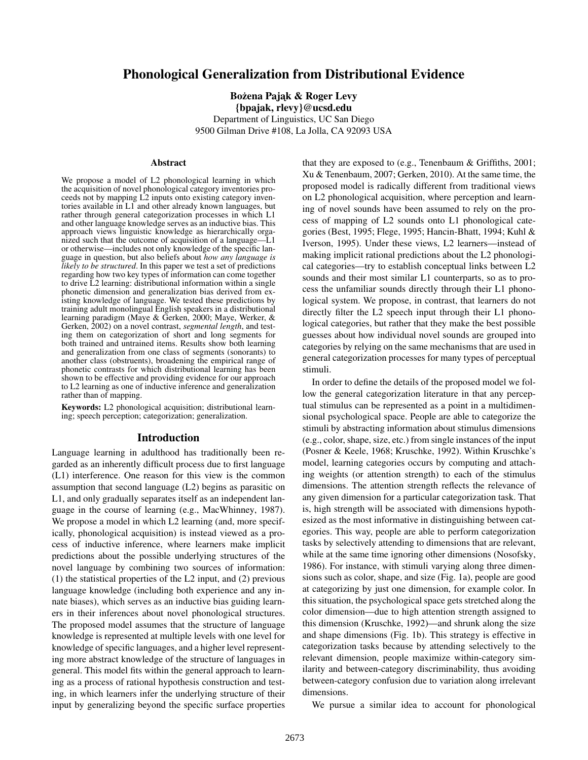# Phonological Generalization from Distributional Evidence

Bożena Pajak & Roger Levy {bpajak, rlevy}@ucsd.edu Department of Linguistics, UC San Diego 9500 Gilman Drive #108, La Jolla, CA 92093 USA

### Abstract

We propose a model of L2 phonological learning in which the acquisition of novel phonological category inventories proceeds not by mapping L2 inputs onto existing category inventories available in L1 and other already known languages, but rather through general categorization processes in which L1 and other language knowledge serves as an inductive bias. This approach views linguistic knowledge as hierarchically organized such that the outcome of acquisition of a language—L1 or otherwise—includes not only knowledge of the specific language in question, but also beliefs about *how any language is likely to be structured*. In this paper we test a set of predictions regarding how two key types of information can come together to drive L2 learning: distributional information within a single phonetic dimension and generalization bias derived from existing knowledge of language. We tested these predictions by training adult monolingual English speakers in a distributional learning paradigm (Maye & Gerken, 2000; Maye, Werker, & Gerken, 2002) on a novel contrast, *segmental length*, and testing them on categorization of short and long segments for both trained and untrained items. Results show both learning and generalization from one class of segments (sonorants) to another class (obstruents), broadening the empirical range of phonetic contrasts for which distributional learning has been shown to be effective and providing evidence for our approach to L2 learning as one of inductive inference and generalization rather than of mapping.

Keywords: L2 phonological acquisition; distributional learning; speech perception; categorization; generalization.

## Introduction

Language learning in adulthood has traditionally been regarded as an inherently difficult process due to first language (L1) interference. One reason for this view is the common assumption that second language (L2) begins as parasitic on L1, and only gradually separates itself as an independent language in the course of learning (e.g., MacWhinney, 1987). We propose a model in which L2 learning (and, more specifically, phonological acquisition) is instead viewed as a process of inductive inference, where learners make implicit predictions about the possible underlying structures of the novel language by combining two sources of information: (1) the statistical properties of the L2 input, and (2) previous language knowledge (including both experience and any innate biases), which serves as an inductive bias guiding learners in their inferences about novel phonological structures. The proposed model assumes that the structure of language knowledge is represented at multiple levels with one level for knowledge of specific languages, and a higher level representing more abstract knowledge of the structure of languages in general. This model fits within the general approach to learning as a process of rational hypothesis construction and testing, in which learners infer the underlying structure of their input by generalizing beyond the specific surface properties that they are exposed to (e.g., Tenenbaum & Griffiths, 2001; Xu & Tenenbaum, 2007; Gerken, 2010). At the same time, the proposed model is radically different from traditional views on L2 phonological acquisition, where perception and learning of novel sounds have been assumed to rely on the process of mapping of L2 sounds onto L1 phonological categories (Best, 1995; Flege, 1995; Hancin-Bhatt, 1994; Kuhl & Iverson, 1995). Under these views, L2 learners—instead of making implicit rational predictions about the L2 phonological categories—try to establish conceptual links between L2 sounds and their most similar L1 counterparts, so as to process the unfamiliar sounds directly through their L1 phonological system. We propose, in contrast, that learners do not directly filter the L2 speech input through their L1 phonological categories, but rather that they make the best possible guesses about how individual novel sounds are grouped into categories by relying on the same mechanisms that are used in general categorization processes for many types of perceptual stimuli.

In order to define the details of the proposed model we follow the general categorization literature in that any perceptual stimulus can be represented as a point in a multidimensional psychological space. People are able to categorize the stimuli by abstracting information about stimulus dimensions (e.g., color, shape, size, etc.) from single instances of the input (Posner & Keele, 1968; Kruschke, 1992). Within Kruschke's model, learning categories occurs by computing and attaching weights (or attention strength) to each of the stimulus dimensions. The attention strength reflects the relevance of any given dimension for a particular categorization task. That is, high strength will be associated with dimensions hypothesized as the most informative in distinguishing between categories. This way, people are able to perform categorization tasks by selectively attending to dimensions that are relevant, while at the same time ignoring other dimensions (Nosofsky, 1986). For instance, with stimuli varying along three dimensions such as color, shape, and size (Fig. 1a), people are good at categorizing by just one dimension, for example color. In this situation, the psychological space gets stretched along the color dimension—due to high attention strength assigned to this dimension (Kruschke, 1992)—and shrunk along the size and shape dimensions (Fig. 1b). This strategy is effective in categorization tasks because by attending selectively to the relevant dimension, people maximize within-category similarity and between-category discriminability, thus avoiding between-category confusion due to variation along irrelevant dimensions.

We pursue a similar idea to account for phonological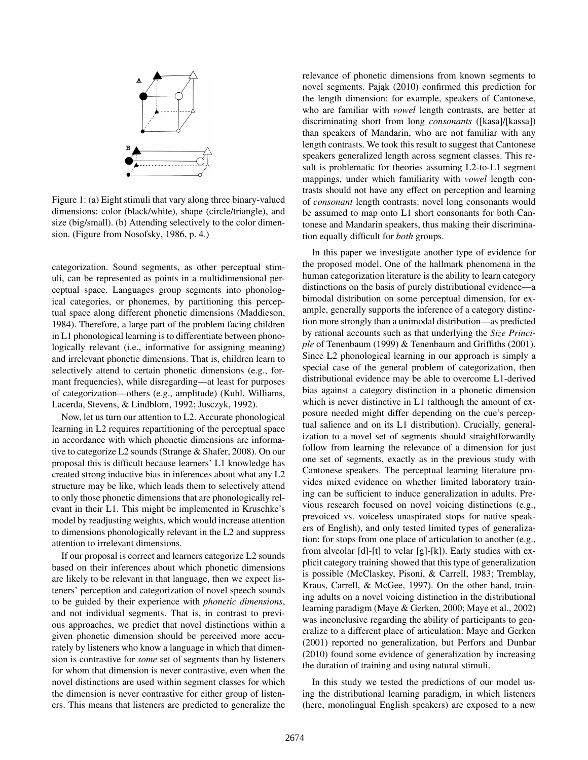

Figure 1: (a) Eight stimuli that vary along three binary-valued dimensions: color (black/white), shape (circle/triangle), and size (big/small). (b) Attending selectively to the color dimension. (Figure from Nosofsky, 1986, p. 4.)

categorization. Sound segments, as other perceptual stimuli, can be represented as points in a multidimensional perceptual space. Languages group segments into phonological categories, or phonemes, by partitioning this perceptual space along different phonetic dimensions (Maddieson, 1984). Therefore, a large part of the problem facing children in L1 phonological learning is to differentiate between phonologically relevant (i.e., informative for assigning meaning) and irrelevant phonetic dimensions. That is, children learn to selectively attend to certain phonetic dimensions (e.g., formant frequencies), while disregarding—at least for purposes of categorization—others (e.g., amplitude) (Kuhl, Williams, Lacerda, Stevens, & Lindblom, 1992; Jusczyk, 1992).

Now, let us turn our attention to L2. Accurate phonological learning in L2 requires repartitioning of the perceptual space in accordance with which phonetic dimensions are informative to categorize L2 sounds (Strange & Shafer, 2008). On our proposal this is difficult because learners' L1 knowledge has created strong inductive bias in inferences about what any L2 structure may be like, which leads them to selectively attend to only those phonetic dimensions that are phonologically relevant in their L1. This might be implemented in Kruschke's model by readjusting weights, which would increase attention to dimensions phonologically relevant in the L2 and suppress attention to irrelevant dimensions.

If our proposal is correct and learners categorize L2 sounds based on their inferences about which phonetic dimensions are likely to be relevant in that language, then we expect listeners' perception and categorization of novel speech sounds to be guided by their experience with *phonetic dimensions*, and not individual segments. That is, in contrast to previous approaches, we predict that novel distinctions within a given phonetic dimension should be perceived more accurately by listeners who know a language in which that dimension is contrastive for *some* set of segments than by listeners for whom that dimension is never contrastive, even when the novel distinctions are used within segment classes for which the dimension is never contrastive for either group of listeners. This means that listeners are predicted to generalize the relevance of phonetic dimensions from known segments to novel segments. Pająk (2010) confirmed this prediction for the length dimension: for example, speakers of Cantonese, who are familiar with *vowel* length contrasts, are better at discriminating short from long *consonants* ([kasa]/[kassa]) than speakers of Mandarin, who are not familiar with any length contrasts. We took this result to suggest that Cantonese speakers generalized length across segment classes. This result is problematic for theories assuming L2-to-L1 segment mappings, under which familiarity with *vowel* length contrasts should not have any effect on perception and learning of *consonant* length contrasts: novel long consonants would be assumed to map onto L1 short consonants for both Cantonese and Mandarin speakers, thus making their discrimination equally difficult for *both* groups.

In this paper we investigate another type of evidence for the proposed model. One of the hallmark phenomena in the human categorization literature is the ability to learn category distinctions on the basis of purely distributional evidence—a bimodal distribution on some perceptual dimension, for example, generally supports the inference of a category distinction more strongly than a unimodal distribution—as predicted by rational accounts such as that underlying the *Size Principle* of Tenenbaum (1999) & Tenenbaum and Griffiths (2001). Since L2 phonological learning in our approach is simply a special case of the general problem of categorization, then distributional evidence may be able to overcome L1-derived bias against a category distinction in a phonetic dimension which is never distinctive in L1 (although the amount of exposure needed might differ depending on the cue's perceptual salience and on its L1 distribution). Crucially, generalization to a novel set of segments should straightforwardly follow from learning the relevance of a dimension for just one set of segments, exactly as in the previous study with Cantonese speakers. The perceptual learning literature provides mixed evidence on whether limited laboratory training can be sufficient to induce generalization in adults. Previous research focused on novel voicing distinctions (e.g., prevoiced vs. voiceless unaspirated stops for native speakers of English), and only tested limited types of generalization: for stops from one place of articulation to another (e.g., from alveolar [d]-[t] to velar [g]-[k]). Early studies with explicit category training showed that this type of generalization is possible (McClaskey, Pisoni, & Carrell, 1983; Tremblay, Kraus, Carrell, & McGee, 1997). On the other hand, training adults on a novel voicing distinction in the distributional learning paradigm (Maye & Gerken, 2000; Maye et al., 2002) was inconclusive regarding the ability of participants to generalize to a different place of articulation: Maye and Gerken (2001) reported no generalization, but Perfors and Dunbar (2010) found some evidence of generalization by increasing the duration of training and using natural stimuli.

In this study we tested the predictions of our model using the distributional learning paradigm, in which listeners (here, monolingual English speakers) are exposed to a new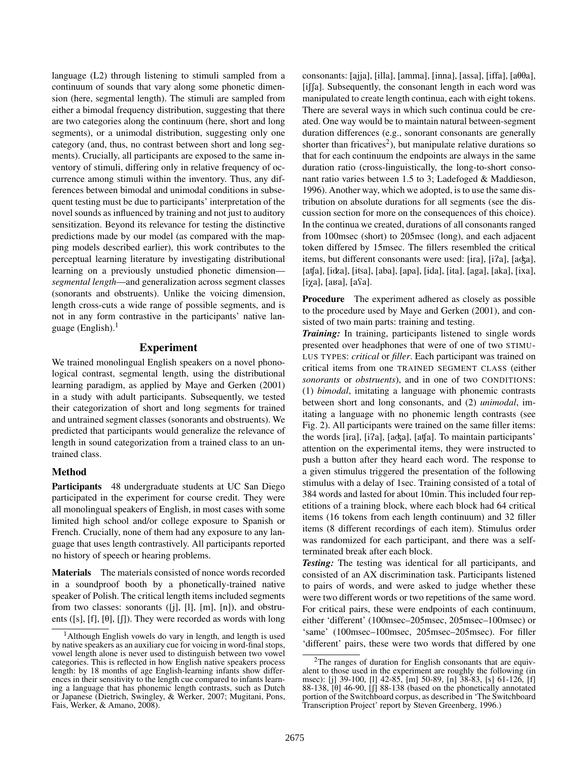language (L2) through listening to stimuli sampled from a continuum of sounds that vary along some phonetic dimension (here, segmental length). The stimuli are sampled from either a bimodal frequency distribution, suggesting that there are two categories along the continuum (here, short and long segments), or a unimodal distribution, suggesting only one category (and, thus, no contrast between short and long segments). Crucially, all participants are exposed to the same inventory of stimuli, differing only in relative frequency of occurrence among stimuli within the inventory. Thus, any differences between bimodal and unimodal conditions in subsequent testing must be due to participants' interpretation of the novel sounds as influenced by training and not just to auditory sensitization. Beyond its relevance for testing the distinctive predictions made by our model (as compared with the mapping models described earlier), this work contributes to the perceptual learning literature by investigating distributional learning on a previously unstudied phonetic dimension *segmental length*—and generalization across segment classes (sonorants and obstruents). Unlike the voicing dimension, length cross-cuts a wide range of possible segments, and is not in any form contrastive in the participants' native language (English). $<sup>1</sup>$ </sup>

# Experiment

We trained monolingual English speakers on a novel phonological contrast, segmental length, using the distributional learning paradigm, as applied by Maye and Gerken (2001) in a study with adult participants. Subsequently, we tested their categorization of short and long segments for trained and untrained segment classes (sonorants and obstruents). We predicted that participants would generalize the relevance of length in sound categorization from a trained class to an untrained class.

## Method

Participants 48 undergraduate students at UC San Diego participated in the experiment for course credit. They were all monolingual speakers of English, in most cases with some limited high school and/or college exposure to Spanish or French. Crucially, none of them had any exposure to any language that uses length contrastively. All participants reported no history of speech or hearing problems.

Materials The materials consisted of nonce words recorded in a soundproof booth by a phonetically-trained native speaker of Polish. The critical length items included segments from two classes: sonorants  $([j], [l], [m], [n])$ , and obstruents ([s], [f], [ $\theta$ ], [ $\iiint$ ). They were recorded as words with long consonants: [ajja], [illa], [amma], [inna], [assa], [iffa], [a $\theta\theta$ a],  $[i]$ [a]. Subsequently, the consonant length in each word was manipulated to create length continua, each with eight tokens. There are several ways in which such continua could be created. One way would be to maintain natural between-segment duration differences (e.g., sonorant consonants are generally shorter than fricatives<sup>2</sup>), but manipulate relative durations so that for each continuum the endpoints are always in the same duration ratio (cross-linguistically, the long-to-short consonant ratio varies between 1.5 to 3; Ladefoged & Maddieson, 1996). Another way, which we adopted, is to use the same distribution on absolute durations for all segments (see the discussion section for more on the consequences of this choice). In the continua we created, durations of all consonants ranged from 100msec (short) to 205msec (long), and each adjacent token differed by 15msec. The fillers resembled the critical items, but different consonants were used: [ira], [i?a], [aʤa],  $[afa]$ ,  $[itba]$ ,  $[itsa]$ ,  $[aba]$ ,  $[apa]$ ,  $[ida]$ ,  $[ita]$ ,  $[aga]$ ,  $[aka]$ ,  $[ixa]$ ,  $[i\chi a]$ ,  $[aba]$ ,  $[afa]$ .

Procedure The experiment adhered as closely as possible to the procedure used by Maye and Gerken (2001), and consisted of two main parts: training and testing.

*Training:* In training, participants listened to single words presented over headphones that were of one of two STIMU-LUS TYPES: *critical* or *filler*. Each participant was trained on critical items from one TRAINED SEGMENT CLASS (either *sonorants* or *obstruents*), and in one of two CONDITIONS: (1) *bimodal*, imitating a language with phonemic contrasts between short and long consonants, and (2) *unimodal*, imitating a language with no phonemic length contrasts (see Fig. 2). All participants were trained on the same filler items: the words [ira], [i?a], [aʤa], [aʧa]. To maintain participants' attention on the experimental items, they were instructed to push a button after they heard each word. The response to a given stimulus triggered the presentation of the following stimulus with a delay of 1sec. Training consisted of a total of 384 words and lasted for about 10min. This included four repetitions of a training block, where each block had 64 critical items (16 tokens from each length continuum) and 32 filler items (8 different recordings of each item). Stimulus order was randomized for each participant, and there was a selfterminated break after each block.

*Testing:* The testing was identical for all participants, and consisted of an AX discrimination task. Participants listened to pairs of words, and were asked to judge whether these were two different words or two repetitions of the same word. For critical pairs, these were endpoints of each continuum, either 'different' (100msec–205msec, 205msec–100msec) or 'same' (100msec–100msec, 205msec–205msec). For filler 'different' pairs, these were two words that differed by one

<sup>&</sup>lt;sup>1</sup>Although English vowels do vary in length, and length is used by native speakers as an auxiliary cue for voicing in word-final stops, vowel length alone is never used to distinguish between two vowel categories. This is reflected in how English native speakers process length: by 18 months of age English-learning infants show differences in their sensitivity to the length cue compared to infants learning a language that has phonemic length contrasts, such as Dutch or Japanese (Dietrich, Swingley, & Werker, 2007; Mugitani, Pons, Fais, Werker, & Amano, 2008).

<sup>&</sup>lt;sup>2</sup>The ranges of duration for English consonants that are equivalent to those used in the experiment are roughly the following (in msec): [j] 39-100, [l] 42-85, [m] 50-89, [n] 38-83, [s] 61-126, [f] 88-138,  $[\theta]$  46-90,  $[\int]$  88-138 (based on the phonetically annotated portion of the Switchboard corpus, as described in 'The Switchboard Transcription Project' report by Steven Greenberg, 1996.)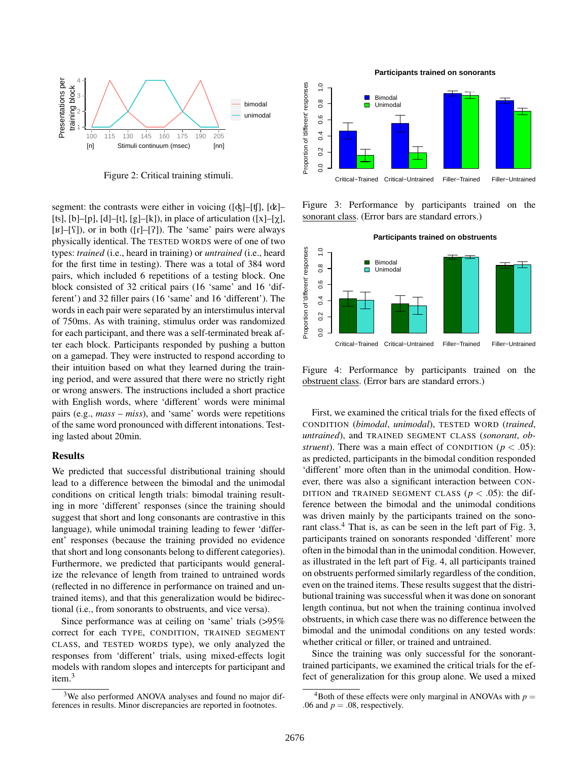

Figure 2: Critical training stimuli.

segment: the contrasts were either in voicing ( $\left[\phi\right]-\left[\phi\right]$ ,  $\left[\phi\right]-$ [ts], [b]–[p], [d]–[t], [g]–[k]), in place of articulation ([x]–[ $\chi$ ],  $[k]$ – $[\S]$ ), or in both ( $[r]$ – $[\S]$ ). The 'same' pairs were always physically identical. The TESTED WORDS were of one of two types: *trained* (i.e., heard in training) or *untrained* (i.e., heard for the first time in testing). There was a total of 384 word pairs, which included 6 repetitions of a testing block. One block consisted of 32 critical pairs (16 'same' and 16 'different') and 32 filler pairs (16 'same' and 16 'different'). The words in each pair were separated by an interstimulus interval of 750ms. As with training, stimulus order was randomized for each participant, and there was a self-terminated break after each block. Participants responded by pushing a button on a gamepad. They were instructed to respond according to their intuition based on what they learned during the training period, and were assured that there were no strictly right or wrong answers. The instructions included a short practice with English words, where 'different' words were minimal pairs (e.g., *mass* – *miss*), and 'same' words were repetitions of the same word pronounced with different intonations. Testing lasted about 20min.

#### Results

We predicted that successful distributional training should lead to a difference between the bimodal and the unimodal conditions on critical length trials: bimodal training resulting in more 'different' responses (since the training should suggest that short and long consonants are contrastive in this language), while unimodal training leading to fewer 'different' responses (because the training provided no evidence that short and long consonants belong to different categories). Furthermore, we predicted that participants would generalize the relevance of length from trained to untrained words (reflected in no difference in performance on trained and untrained items), and that this generalization would be bidirectional (i.e., from sonorants to obstruents, and vice versa).

Since performance was at ceiling on 'same' trials (>95% correct for each TYPE, CONDITION, TRAINED SEGMENT CLASS, and TESTED WORDS type), we only analyzed the responses from 'different' trials, using mixed-effects logit models with random slopes and intercepts for participant and item.<sup>3</sup>

Proportion of different responses  $\frac{0}{1}$ Proportion of 'different' responses 0.0 0.2 0.4 0.6 0.8 1.0 Bimodal  $\blacksquare$  $0.8$ Unimodal 0.6  $0.4$  $0.2$  $\overline{0}$ .0 Critical−Trained Critical−Untrained Filler−Trained Filler−Untrained

Figure 3: Performance by participants trained on the sonorant class. (Error bars are standard errors.)



Figure 4: Performance by participants trained on the obstruent class. (Error bars are standard errors.)

First, we examined the critical trials for the fixed effects of CONDITION (*bimodal*, *unimodal*), TESTED WORD (*trained*, *untrained*), and TRAINED SEGMENT CLASS (*sonorant*, *obstruent*). There was a main effect of CONDITION ( $p < .05$ ): as predicted, participants in the bimodal condition responded 'different' more often than in the unimodal condition. However, there was also a significant interaction between CON-DITION and TRAINED SEGMENT CLASS ( $p < .05$ ): the difference between the bimodal and the unimodal conditions was driven mainly by the participants trained on the sonorant class.<sup>4</sup> That is, as can be seen in the left part of Fig. 3, participants trained on sonorants responded 'different' more often in the bimodal than in the unimodal condition. However, as illustrated in the left part of Fig. 4, all participants trained on obstruents performed similarly regardless of the condition, even on the trained items. These results suggest that the distributional training was successful when it was done on sonorant length continua, but not when the training continua involved obstruents, in which case there was no difference between the bimodal and the unimodal conditions on any tested words: whether critical or filler, or trained and untrained.

Since the training was only successful for the sonoranttrained participants, we examined the critical trials for the effect of generalization for this group alone. We used a mixed

**Participants trained on sonorants**

<sup>&</sup>lt;sup>3</sup>We also performed ANOVA analyses and found no major differences in results. Minor discrepancies are reported in footnotes.

<sup>&</sup>lt;sup>4</sup>Both of these effects were only marginal in ANOVAs with  $p =$ .06 and  $p = .08$ , respectively.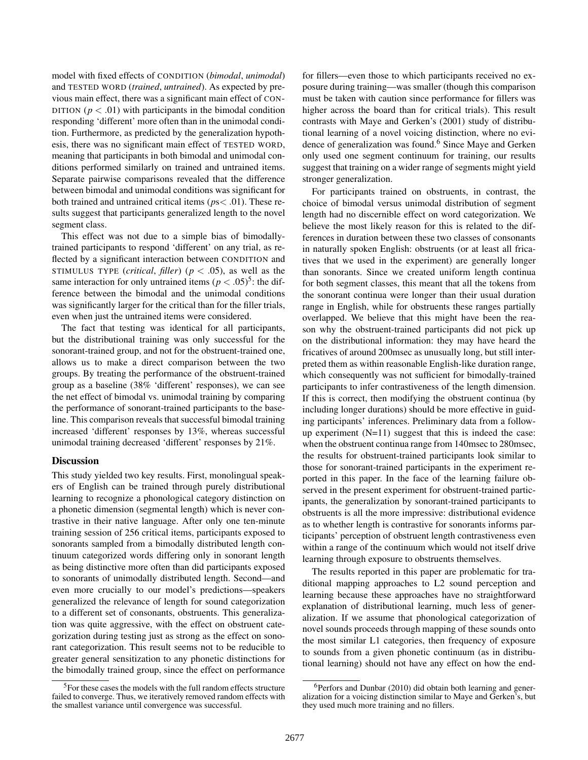model with fixed effects of CONDITION (*bimodal*, *unimodal*) and TESTED WORD (*trained*, *untrained*). As expected by previous main effect, there was a significant main effect of CON-DITION ( $p < .01$ ) with participants in the bimodal condition responding 'different' more often than in the unimodal condition. Furthermore, as predicted by the generalization hypothesis, there was no significant main effect of TESTED WORD, meaning that participants in both bimodal and unimodal conditions performed similarly on trained and untrained items. Separate pairwise comparisons revealed that the difference between bimodal and unimodal conditions was significant for both trained and untrained critical items (*p*s< .01). These results suggest that participants generalized length to the novel segment class.

This effect was not due to a simple bias of bimodallytrained participants to respond 'different' on any trial, as reflected by a significant interaction between CONDITION and STIMULUS TYPE (*critical*, *filler*) ( $p < .05$ ), as well as the same interaction for only untrained items  $(p < .05)^5$ : the difference between the bimodal and the unimodal conditions was significantly larger for the critical than for the filler trials, even when just the untrained items were considered.

The fact that testing was identical for all participants, but the distributional training was only successful for the sonorant-trained group, and not for the obstruent-trained one, allows us to make a direct comparison between the two groups. By treating the performance of the obstruent-trained group as a baseline (38% 'different' responses), we can see the net effect of bimodal vs. unimodal training by comparing the performance of sonorant-trained participants to the baseline. This comparison reveals that successful bimodal training increased 'different' responses by 13%, whereas successful unimodal training decreased 'different' responses by 21%.

## **Discussion**

This study yielded two key results. First, monolingual speakers of English can be trained through purely distributional learning to recognize a phonological category distinction on a phonetic dimension (segmental length) which is never contrastive in their native language. After only one ten-minute training session of 256 critical items, participants exposed to sonorants sampled from a bimodally distributed length continuum categorized words differing only in sonorant length as being distinctive more often than did participants exposed to sonorants of unimodally distributed length. Second—and even more crucially to our model's predictions—speakers generalized the relevance of length for sound categorization to a different set of consonants, obstruents. This generalization was quite aggressive, with the effect on obstruent categorization during testing just as strong as the effect on sonorant categorization. This result seems not to be reducible to greater general sensitization to any phonetic distinctions for the bimodally trained group, since the effect on performance for fillers—even those to which participants received no exposure during training—was smaller (though this comparison must be taken with caution since performance for fillers was higher across the board than for critical trials). This result contrasts with Maye and Gerken's (2001) study of distributional learning of a novel voicing distinction, where no evidence of generalization was found.<sup>6</sup> Since Maye and Gerken only used one segment continuum for training, our results suggest that training on a wider range of segments might yield stronger generalization.

For participants trained on obstruents, in contrast, the choice of bimodal versus unimodal distribution of segment length had no discernible effect on word categorization. We believe the most likely reason for this is related to the differences in duration between these two classes of consonants in naturally spoken English: obstruents (or at least all fricatives that we used in the experiment) are generally longer than sonorants. Since we created uniform length continua for both segment classes, this meant that all the tokens from the sonorant continua were longer than their usual duration range in English, while for obstruents these ranges partially overlapped. We believe that this might have been the reason why the obstruent-trained participants did not pick up on the distributional information: they may have heard the fricatives of around 200msec as unusually long, but still interpreted them as within reasonable English-like duration range, which consequently was not sufficient for bimodally-trained participants to infer contrastiveness of the length dimension. If this is correct, then modifying the obstruent continua (by including longer durations) should be more effective in guiding participants' inferences. Preliminary data from a followup experiment  $(N=11)$  suggest that this is indeed the case: when the obstruent continua range from 140msec to 280msec, the results for obstruent-trained participants look similar to those for sonorant-trained participants in the experiment reported in this paper. In the face of the learning failure observed in the present experiment for obstruent-trained participants, the generalization by sonorant-trained participants to obstruents is all the more impressive: distributional evidence as to whether length is contrastive for sonorants informs participants' perception of obstruent length contrastiveness even within a range of the continuum which would not itself drive learning through exposure to obstruents themselves.

The results reported in this paper are problematic for traditional mapping approaches to L2 sound perception and learning because these approaches have no straightforward explanation of distributional learning, much less of generalization. If we assume that phonological categorization of novel sounds proceeds through mapping of these sounds onto the most similar L1 categories, then frequency of exposure to sounds from a given phonetic continuum (as in distributional learning) should not have any effect on how the end-

<sup>5</sup>For these cases the models with the full random effects structure failed to converge. Thus, we iteratively removed random effects with the smallest variance until convergence was successful.

 $6$ Perfors and Dunbar (2010) did obtain both learning and generalization for a voicing distinction similar to Maye and Gerken's, but they used much more training and no fillers.